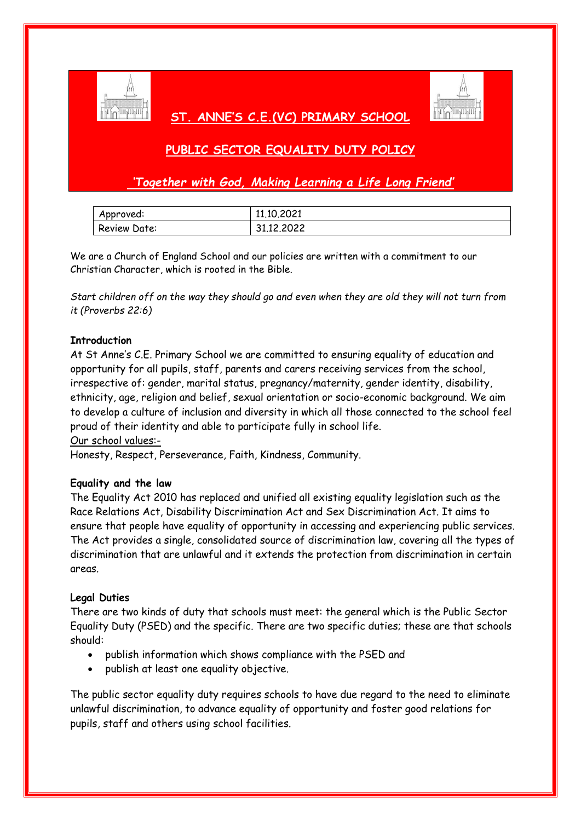

## **ST. ANNE'S C.E.(VC) PRIMARY SCHOOL**



# **PUBLIC SECTOR EQUALITY DUTY POLICY**

*'Together with God, Making Learning a Life Long Friend'*

| Approved:    | 11.10.2021 |
|--------------|------------|
| Review Date: | 31.12.2022 |

We are a Church of England School and our policies are written with a commitment to our Christian Character, which is rooted in the Bible.

*Start children off on the way they should go and even when they are old they will not turn from it (Proverbs 22:6)*

### **Introduction**

At St Anne's C.E. Primary School we are committed to ensuring equality of education and opportunity for all pupils, staff, parents and carers receiving services from the school, irrespective of: gender, marital status, pregnancy/maternity, gender identity, disability, ethnicity, age, religion and belief, sexual orientation or socio-economic background. We aim to develop a culture of inclusion and diversity in which all those connected to the school feel proud of their identity and able to participate fully in school life.

Our school values:-

Honesty, Respect, Perseverance, Faith, Kindness, Community.

### **Equality and the law**

The Equality Act 2010 has replaced and unified all existing equality legislation such as the Race Relations Act, Disability Discrimination Act and Sex Discrimination Act. It aims to ensure that people have equality of opportunity in accessing and experiencing public services. The Act provides a single, consolidated source of discrimination law, covering all the types of discrimination that are unlawful and it extends the protection from discrimination in certain areas.

### **Legal Duties**

There are two kinds of duty that schools must meet: the general which is the Public Sector Equality Duty (PSED) and the specific. There are two specific duties; these are that schools should:

- publish information which shows compliance with the PSED and
- publish at least one equality objective.

The public sector equality duty requires schools to have due regard to the need to eliminate unlawful discrimination, to advance equality of opportunity and foster good relations for pupils, staff and others using school facilities.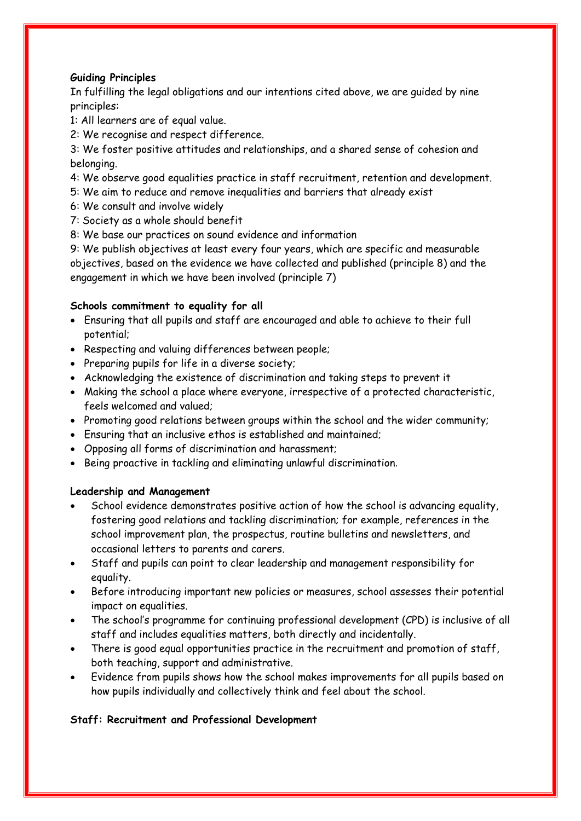### **Guiding Principles**

In fulfilling the legal obligations and our intentions cited above, we are guided by nine principles:

1: All learners are of equal value.

2: We recognise and respect difference.

3: We foster positive attitudes and relationships, and a shared sense of cohesion and belonging.

- 4: We observe good equalities practice in staff recruitment, retention and development.
- 5: We aim to reduce and remove inequalities and barriers that already exist
- 6: We consult and involve widely
- 7: Society as a whole should benefit
- 8: We base our practices on sound evidence and information

9: We publish objectives at least every four years, which are specific and measurable objectives, based on the evidence we have collected and published (principle 8) and the engagement in which we have been involved (principle 7)

### **Schools commitment to equality for all**

- Ensuring that all pupils and staff are encouraged and able to achieve to their full potential;
- Respecting and valuing differences between people;
- Preparing pupils for life in a diverse society;
- Acknowledging the existence of discrimination and taking steps to prevent it
- Making the school a place where everyone, irrespective of a protected characteristic, feels welcomed and valued;
- Promoting good relations between groups within the school and the wider community;
- Ensuring that an inclusive ethos is established and maintained;
- Opposing all forms of discrimination and harassment;
- Being proactive in tackling and eliminating unlawful discrimination.

### **Leadership and Management**

- School evidence demonstrates positive action of how the school is advancing equality, fostering good relations and tackling discrimination; for example, references in the school improvement plan, the prospectus, routine bulletins and newsletters, and occasional letters to parents and carers.
- Staff and pupils can point to clear leadership and management responsibility for equality.
- Before introducing important new policies or measures, school assesses their potential impact on equalities.
- The school's programme for continuing professional development (CPD) is inclusive of all staff and includes equalities matters, both directly and incidentally.
- There is good equal opportunities practice in the recruitment and promotion of staff, both teaching, support and administrative.
- Evidence from pupils shows how the school makes improvements for all pupils based on how pupils individually and collectively think and feel about the school.

### **Staff: Recruitment and Professional Development**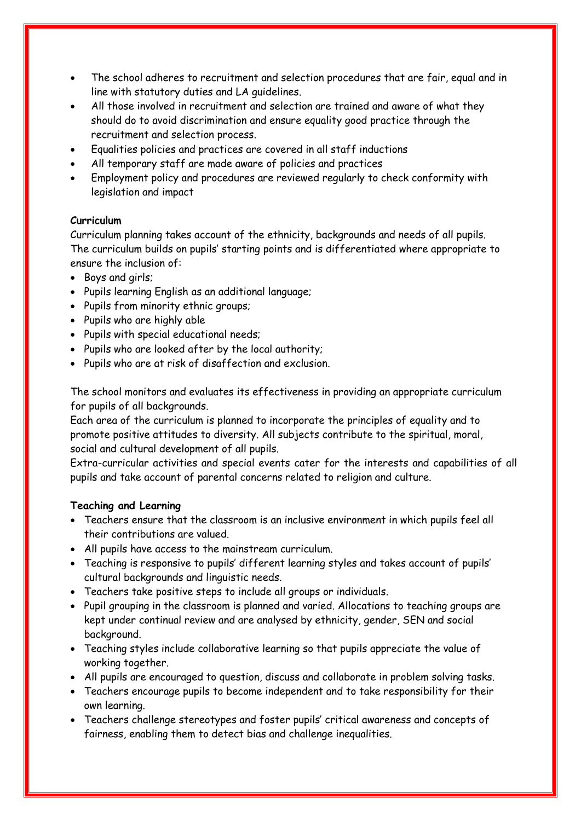- The school adheres to recruitment and selection procedures that are fair, equal and in line with statutory duties and LA guidelines.
- All those involved in recruitment and selection are trained and aware of what they should do to avoid discrimination and ensure equality good practice through the recruitment and selection process.
- Equalities policies and practices are covered in all staff inductions
- All temporary staff are made aware of policies and practices
- Employment policy and procedures are reviewed regularly to check conformity with legislation and impact

### **Curriculum**

Curriculum planning takes account of the ethnicity, backgrounds and needs of all pupils. The curriculum builds on pupils' starting points and is differentiated where appropriate to ensure the inclusion of:

- Boys and girls;
- Pupils learning English as an additional language;
- Pupils from minority ethnic groups;
- Pupils who are highly able
- Pupils with special educational needs;
- Pupils who are looked after by the local authority;
- Pupils who are at risk of disaffection and exclusion.

The school monitors and evaluates its effectiveness in providing an appropriate curriculum for pupils of all backgrounds.

Each area of the curriculum is planned to incorporate the principles of equality and to promote positive attitudes to diversity. All subjects contribute to the spiritual, moral, social and cultural development of all pupils.

Extra-curricular activities and special events cater for the interests and capabilities of all pupils and take account of parental concerns related to religion and culture.

### **Teaching and Learning**

- Teachers ensure that the classroom is an inclusive environment in which pupils feel all their contributions are valued.
- All pupils have access to the mainstream curriculum.
- Teaching is responsive to pupils' different learning styles and takes account of pupils' cultural backgrounds and linguistic needs.
- Teachers take positive steps to include all groups or individuals.
- Pupil grouping in the classroom is planned and varied. Allocations to teaching groups are kept under continual review and are analysed by ethnicity, gender, SEN and social background.
- Teaching styles include collaborative learning so that pupils appreciate the value of working together.
- All pupils are encouraged to question, discuss and collaborate in problem solving tasks.
- Teachers encourage pupils to become independent and to take responsibility for their own learning.
- Teachers challenge stereotypes and foster pupils' critical awareness and concepts of fairness, enabling them to detect bias and challenge inequalities.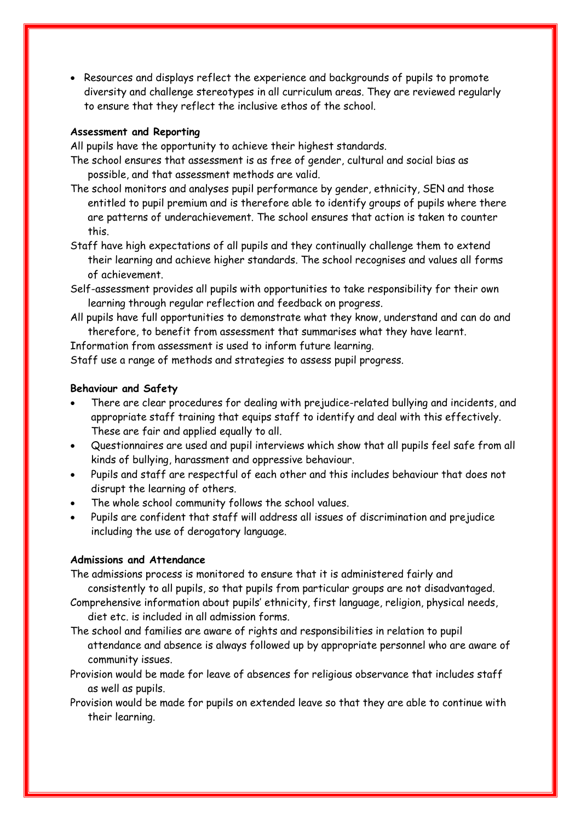• Resources and displays reflect the experience and backgrounds of pupils to promote diversity and challenge stereotypes in all curriculum areas. They are reviewed regularly to ensure that they reflect the inclusive ethos of the school.

#### **Assessment and Reporting**

All pupils have the opportunity to achieve their highest standards.

- The school ensures that assessment is as free of gender, cultural and social bias as possible, and that assessment methods are valid.
- The school monitors and analyses pupil performance by gender, ethnicity, SEN and those entitled to pupil premium and is therefore able to identify groups of pupils where there are patterns of underachievement. The school ensures that action is taken to counter this.
- Staff have high expectations of all pupils and they continually challenge them to extend their learning and achieve higher standards. The school recognises and values all forms of achievement.
- Self-assessment provides all pupils with opportunities to take responsibility for their own learning through regular reflection and feedback on progress.
- All pupils have full opportunities to demonstrate what they know, understand and can do and therefore, to benefit from assessment that summarises what they have learnt.

Information from assessment is used to inform future learning.

Staff use a range of methods and strategies to assess pupil progress.

#### **Behaviour and Safety**

- There are clear procedures for dealing with prejudice-related bullying and incidents, and appropriate staff training that equips staff to identify and deal with this effectively. These are fair and applied equally to all.
- Questionnaires are used and pupil interviews which show that all pupils feel safe from all kinds of bullying, harassment and oppressive behaviour.
- Pupils and staff are respectful of each other and this includes behaviour that does not disrupt the learning of others.
- The whole school community follows the school values.
- Pupils are confident that staff will address all issues of discrimination and prejudice including the use of derogatory language.

#### **Admissions and Attendance**

The admissions process is monitored to ensure that it is administered fairly and

- consistently to all pupils, so that pupils from particular groups are not disadvantaged.
- Comprehensive information about pupils' ethnicity, first language, religion, physical needs, diet etc. is included in all admission forms.
- The school and families are aware of rights and responsibilities in relation to pupil attendance and absence is always followed up by appropriate personnel who are aware of community issues.
- Provision would be made for leave of absences for religious observance that includes staff as well as pupils.
- Provision would be made for pupils on extended leave so that they are able to continue with their learning.